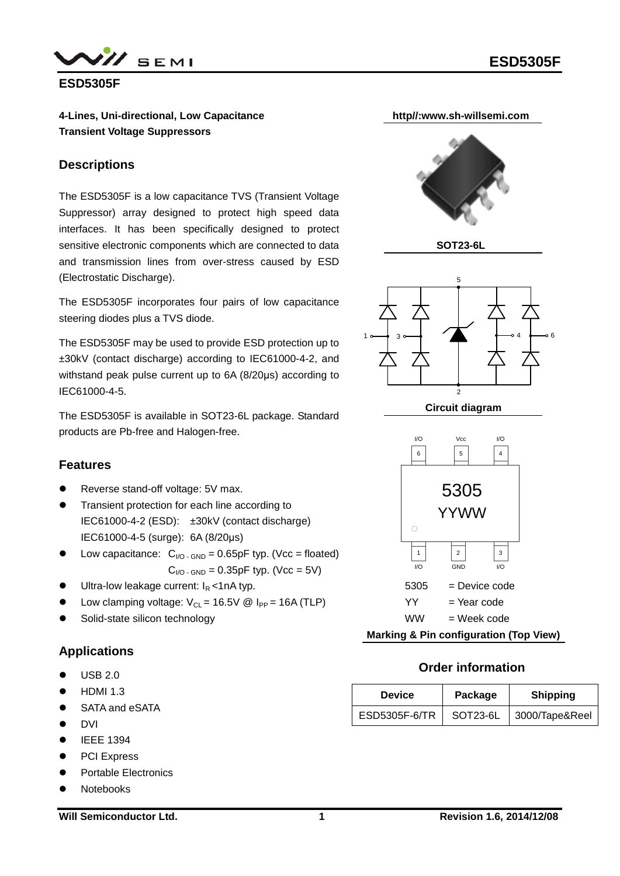



**ESD5305F**

**4-Lines, Uni-directional, Low Capacitance Transient Voltage Suppressors**

### **Descriptions**

The ESD5305F is a low capacitance TVS (Transient Voltage Suppressor) array designed to protect high speed data interfaces. It has been specifically designed to protect sensitive electronic components which are connected to data and transmission lines from over-stress caused by ESD (Electrostatic Discharge).

The ESD5305F incorporates four pairs of low capacitance steering diodes plus a TVS diode.

The ESD5305F may be used to provide ESD protection up to ±30kV (contact discharge) according to IEC61000-4-2, and withstand peak pulse current up to 6A (8/20μs) according to IEC61000-4-5.

The ESD5305F is available in SOT23-6L package. Standard products are Pb-free and Halogen-free.

## **Features**

- Reverse stand-off voltage: 5V max.
- Transient protection for each line according to IEC61000-4-2 (ESD): ±30kV (contact discharge) IEC61000-4-5 (surge): 6A (8/20μs)
- Using Low capacitance:  $C_{\text{IO}}$   $G_{\text{ND}} = 0.65pF$  typ. (Vcc = floated)  $C_{\text{NO-SND}} = 0.35pF$  typ. (Vcc = 5V)
- Ultra-low leakage current:  $I_R$  <1nA typ.
- Low clamping voltage:  $V_{CL}$  = 16.5V @ I<sub>PP</sub> = 16A (TLP)
- Solid-state silicon technology

## **Applications**

- USB 2.0
- HDMI 1.3
- SATA and eSATA
- **•** DVI
- $\bullet$  IEEE 1394
- PCI Express
- Portable Electronics
- Notebooks



**Marking & Pin configuration (Top View)**

## **Order information**

| <b>Device</b> | Package  | <b>Shipping</b> |
|---------------|----------|-----------------|
| ESD5305F-6/TR | SOT23-6L | 3000/Tape&Reel  |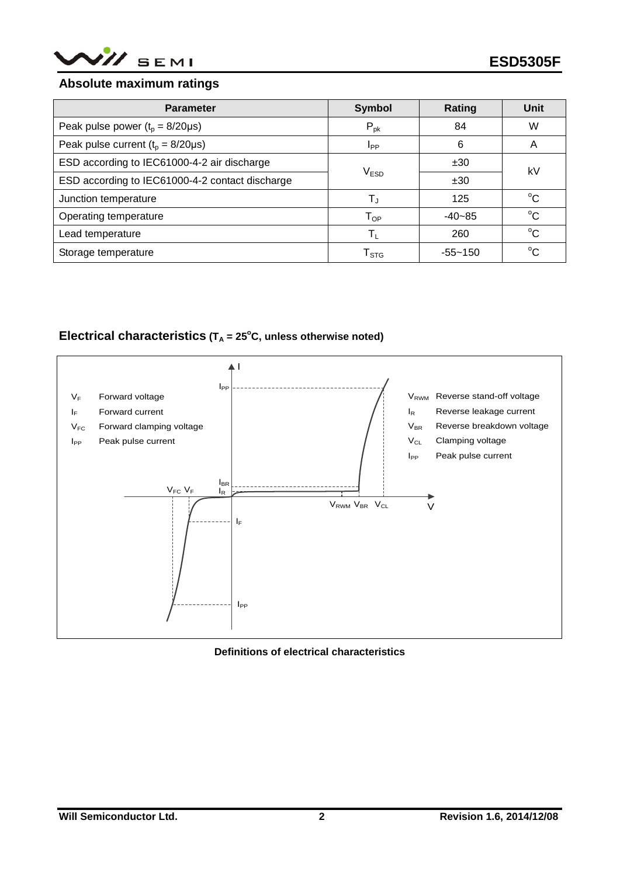

#### **Absolute maximum ratings**

| <b>Parameter</b>                                | <b>Symbol</b>              | Rating      | <b>Unit</b> |  |
|-------------------------------------------------|----------------------------|-------------|-------------|--|
| Peak pulse power $(t_p = 8/20 \mu s)$           | $P_{pk}$                   | 84          | W           |  |
| Peak pulse current $(t_0 = 8/20 \mu s)$         | I <sub>PP</sub>            | 6           | A           |  |
| ESD according to IEC61000-4-2 air discharge     |                            |             | kV          |  |
| ESD according to IEC61000-4-2 contact discharge | V <sub>ESD</sub>           | ±30         |             |  |
| Junction temperature                            | $T_{\rm J}$                | 125         | $^{\circ}C$ |  |
| Operating temperature                           | $\mathsf{T}_{\mathsf{OP}}$ | $-40-85$    | $^{\circ}C$ |  |
| Lead temperature                                | $\mathsf{T}_\mathsf{L}$    | 260         | $^{\circ}C$ |  |
| Storage temperature                             | ${\sf T}_{\text{STG}}$     | $-55 - 150$ | $^{\circ}C$ |  |

### **Electrical characteristics** ( $T_A$  = 25 $^{\circ}$ C, unless otherwise noted)



#### **Definitions of electrical characteristics**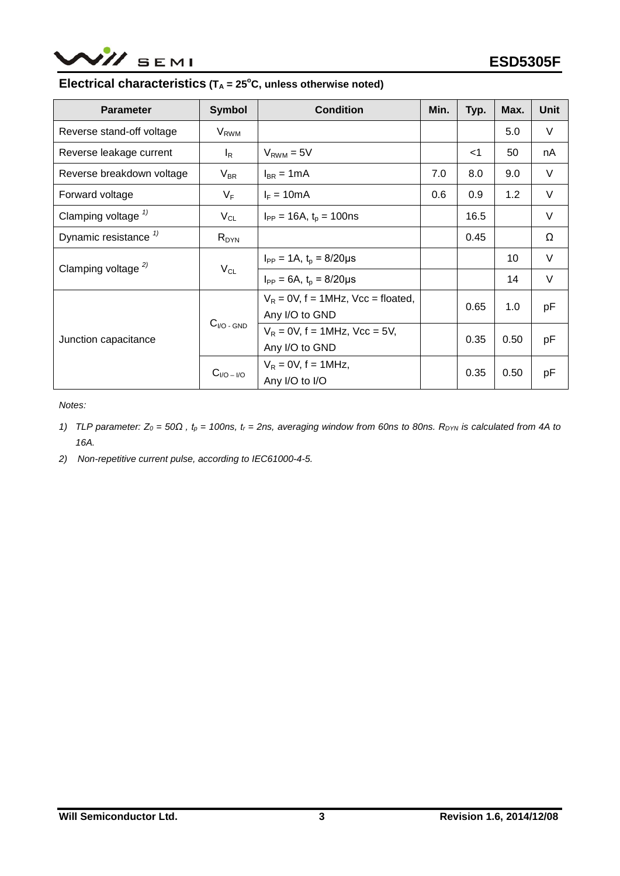

#### **Electrical characteristics** ( $T_A$  = 25 $^{\circ}$ C, unless otherwise noted)

| <b>Parameter</b>                 | <b>Symbol</b>     | <b>Condition</b>                                        | Min. | Typ.  | Max. | <b>Unit</b> |
|----------------------------------|-------------------|---------------------------------------------------------|------|-------|------|-------------|
| Reverse stand-off voltage        | $V_{RWM}$         |                                                         |      |       | 5.0  | V           |
| Reverse leakage current          | $I_R$             | $V_{RWM} = 5V$                                          |      | $<$ 1 | 50   | nA          |
| Reverse breakdown voltage        | $V_{BR}$          | $I_{BR} = 1mA$                                          | 7.0  | 8.0   | 9.0  | V           |
| Forward voltage                  | $V_F$             | $I_F = 10mA$                                            | 0.6  | 0.9   | 1.2  | $\vee$      |
| Clamping voltage $\frac{1}{2}$   | $V_{CL}$          | $I_{PP} = 16A$ , $t_p = 100$ ns                         |      | 16.5  |      | $\vee$      |
| Dynamic resistance <sup>1)</sup> | $R_{DYN}$         |                                                         |      | 0.45  |      | Ω           |
| Clamping voltage $^{2)}$         | $V_{CL}$          | $I_{PP} = 1A$ , $t_p = 8/20 \mu s$                      |      |       | 10   | $\vee$      |
|                                  |                   | $I_{PP} = 6A$ , $t_p = 8/20 \mu s$                      |      |       | 14   | $\vee$      |
| Junction capacitance             | $C_{I/O}$ - $GND$ | $V_R = 0V$ , f = 1MHz, Vcc = floated,<br>Any I/O to GND |      | 0.65  | 1.0  | pF          |
|                                  |                   | $V_R = 0V$ , f = 1MHz, Vcc = 5V,<br>Any I/O to GND      |      | 0.35  | 0.50 | pF          |
|                                  | $CI/O-I/O$        | $V_R = 0V$ , f = 1MHz,<br>Any I/O to I/O                |      | 0.35  | 0.50 | рF          |

*Notes:*

- *1) TLP parameter:*  $Z_0 = 50\Omega$ ,  $t_p = 100$ ns,  $t_r = 2$ ns, averaging window from 60ns to 80ns. R<sub>DYN</sub> is calculated from 4A to *16A.*
- *2) Non-repetitive current pulse, according to IEC61000-4-5.*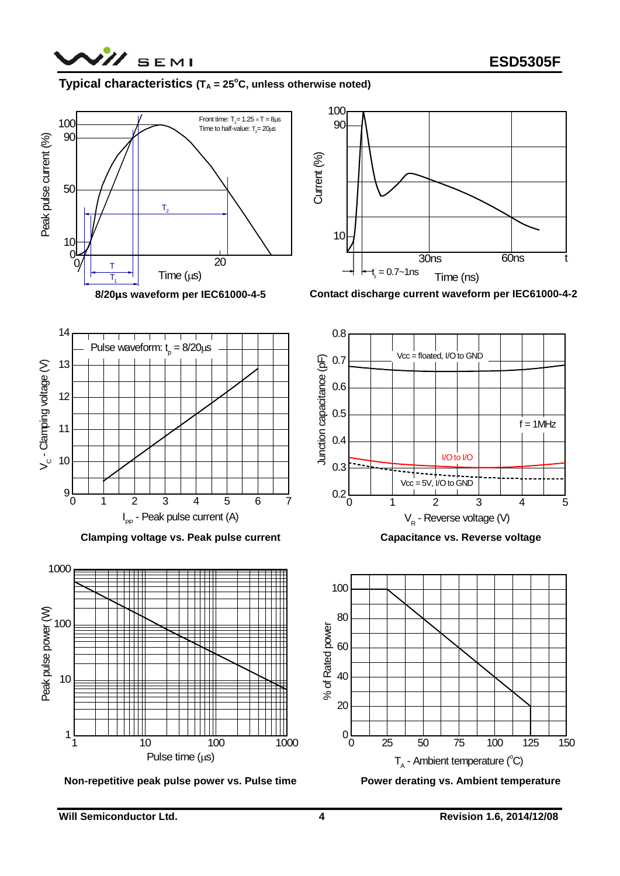

## **Typical characteristics (TA = 25°C, unless otherwise noted)**





**Contact discharge current waveform per IEC61000-4-2**



**Clamping voltage vs. Peak pulse current**



**Non-repetitive peak pulse power vs. Pulse time**



**Capacitance vs. Reverse voltage**



**Power derating vs. Ambient temperature**

10

11

(V) aperior princhen() - ^

 $V_c$  - Clamping voltage  $(V)$ 

12

13

14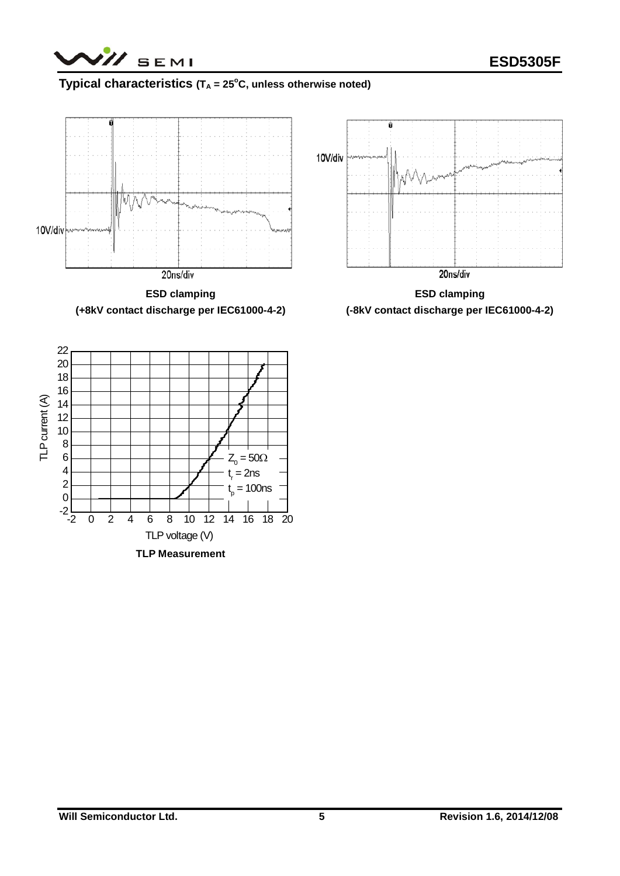/// SEMI

## **Typical characteristics (TA = 25°C, unless otherwise noted)**



**ESD clamping (+8kV contact discharge per IEC61000-4-2)**



**ESD clamping (-8kV contact discharge per IEC61000-4-2)**